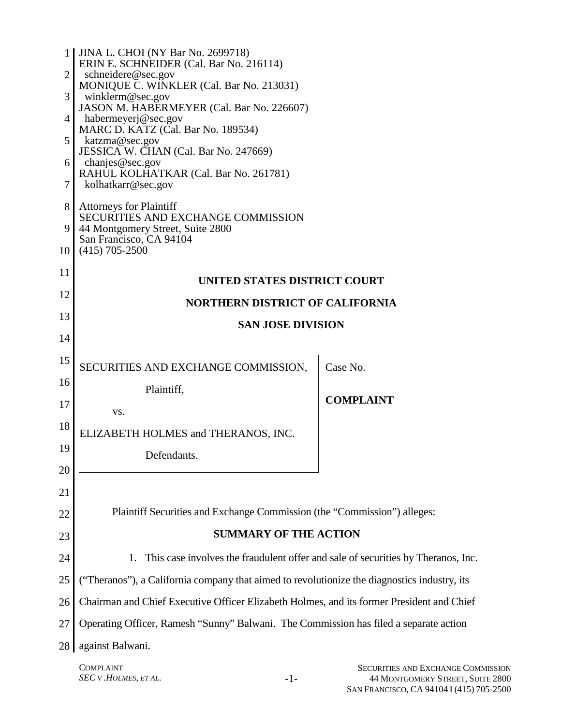|                | 1    JINA L. CHOI (NY Bar No. 2699718)<br>ERIN E. SCHNEIDER (Cal. Bar No. 216114)            |                  |  |
|----------------|----------------------------------------------------------------------------------------------|------------------|--|
| $\overline{2}$ | schneidere@sec.gov                                                                           |                  |  |
| 3 <sup>1</sup> | MONIQUE C. WINKLER (Cal. Bar No. 213031)<br>winklerm@sec.gov                                 |                  |  |
| $\overline{4}$ | JASON M. HABERMEYER (Cal. Bar No. 226607)<br>habermeyerj@sec.gov                             |                  |  |
|                | MARC D. KATZ (Cal. Bar No. 189534)                                                           |                  |  |
| 5 <sup>1</sup> | katzma@sec.gov<br>JESSICA W. CHAN (Cal. Bar No. 247669)                                      |                  |  |
| 6              | chanjes@sec.gov<br>RAHUL KOLHATKAR (Cal. Bar No. 261781)                                     |                  |  |
| 7              | kolhatkarr@sec.gov                                                                           |                  |  |
| 8              | <b>Attorneys for Plaintiff</b>                                                               |                  |  |
| 9              | SECURITIES AND EXCHANGE COMMISSION<br>44 Montgomery Street, Suite 2800                       |                  |  |
| 10             | San Francisco, CA 94104<br>$(415)$ 705-2500                                                  |                  |  |
| 11             | UNITED STATES DISTRICT COURT                                                                 |                  |  |
| 12             | <b>NORTHERN DISTRICT OF CALIFORNIA</b>                                                       |                  |  |
| 13             | <b>SAN JOSE DIVISION</b>                                                                     |                  |  |
| 14             |                                                                                              |                  |  |
| 15             | SECURITIES AND EXCHANGE COMMISSION,                                                          | Case No.         |  |
| 16             | Plaintiff,                                                                                   |                  |  |
| 17             |                                                                                              | <b>COMPLAINT</b> |  |
| 18             | VS.                                                                                          |                  |  |
| 19             | ELIZABETH HOLMES and THERANOS, INC.                                                          |                  |  |
|                | Defendants.                                                                                  |                  |  |
| 20             |                                                                                              |                  |  |
| 21             |                                                                                              |                  |  |
| 22             | Plaintiff Securities and Exchange Commission (the "Commission") alleges:                     |                  |  |
| 23             | <b>SUMMARY OF THE ACTION</b>                                                                 |                  |  |
| 24             | This case involves the fraudulent offer and sale of securities by Theranos, Inc.<br>1.       |                  |  |
| 25             | ("Theranos"), a California company that aimed to revolutionize the diagnostics industry, its |                  |  |
| 26             | Chairman and Chief Executive Officer Elizabeth Holmes, and its former President and Chief    |                  |  |
| 27             | Operating Officer, Ramesh "Sunny" Balwani. The Commission has filed a separate action        |                  |  |
| 28             | against Balwani.                                                                             |                  |  |
|                |                                                                                              |                  |  |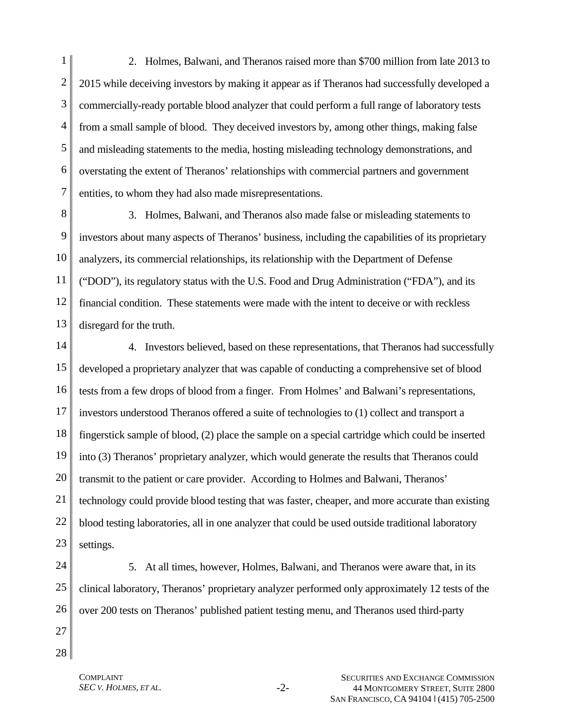1 2 3 4 5 6 7 2. Holmes, Balwani, and Theranos raised more than \$700 million from late 2013 to 2015 while deceiving investors by making it appear as if Theranos had successfully developed a commercially-ready portable blood analyzer that could perform a full range of laboratory tests from a small sample of blood. They deceived investors by, among other things, making false and misleading statements to the media, hosting misleading technology demonstrations, and overstating the extent of Theranos' relationships with commercial partners and government entities, to whom they had also made misrepresentations.

8 9 10 11 12 13 3. Holmes, Balwani, and Theranos also made false or misleading statements to investors about many aspects of Theranos' business, including the capabilities of its proprietary analyzers, its commercial relationships, its relationship with the Department of Defense ("DOD"), its regulatory status with the U.S. Food and Drug Administration ("FDA"), and its financial condition. These statements were made with the intent to deceive or with reckless disregard for the truth.

14 15 16 17 18 19 20 21 22 23 4. Investors believed, based on these representations, that Theranos had successfully developed a proprietary analyzer that was capable of conducting a comprehensive set of blood tests from a few drops of blood from a finger. From Holmes' and Balwani's representations, investors understood Theranos offered a suite of technologies to (1) collect and transport a fingerstick sample of blood, (2) place the sample on a special cartridge which could be inserted into (3) Theranos' proprietary analyzer, which would generate the results that Theranos could transmit to the patient or care provider. According to Holmes and Balwani, Theranos' technology could provide blood testing that was faster, cheaper, and more accurate than existing blood testing laboratories, all in one analyzer that could be used outside traditional laboratory settings.

24

25 26 5. At all times, however, Holmes, Balwani, and Theranos were aware that, in its clinical laboratory, Theranos' proprietary analyzer performed only approximately 12 tests of the over 200 tests on Theranos' published patient testing menu, and Theranos used third-party

27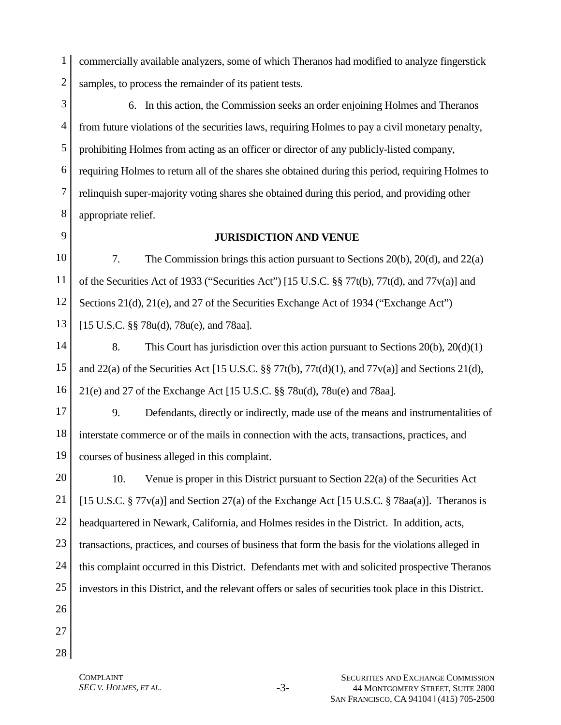1 2 commercially available analyzers, some of which Theranos had modified to analyze fingerstick samples, to process the remainder of its patient tests.

3 4 5 6 7 8 6. In this action, the Commission seeks an order enjoining Holmes and Theranos from future violations of the securities laws, requiring Holmes to pay a civil monetary penalty, prohibiting Holmes from acting as an officer or director of any publicly-listed company, requiring Holmes to return all of the shares she obtained during this period, requiring Holmes to relinquish super-majority voting shares she obtained during this period, and providing other appropriate relief.

9

#### **JURISDICTION AND VENUE**

10 11 12 13 7. The Commission brings this action pursuant to Sections 20(b), 20(d), and 22(a) of the Securities Act of 1933 ("Securities Act") [15 U.S.C. §§ 77t(b), 77t(d), and 77v(a)] and Sections 21(d), 21(e), and 27 of the Securities Exchange Act of 1934 ("Exchange Act") [15 U.S.C. §§ 78u(d), 78u(e), and 78aa].

14 15 16 8. This Court has jurisdiction over this action pursuant to Sections 20(b), 20(d)(1) and  $22(a)$  of the Securities Act [15 U.S.C. §§ 77t(b), 77t(d)(1), and 77y(a)] and Sections 21(d), 21(e) and 27 of the Exchange Act [15 U.S.C. §§ 78u(d), 78u(e) and 78aa].

17 18 19 9. Defendants, directly or indirectly, made use of the means and instrumentalities of interstate commerce or of the mails in connection with the acts, transactions, practices, and courses of business alleged in this complaint.

20 21 22 23 24 25 26 10. Venue is proper in this District pursuant to Section 22(a) of the Securities Act [15 U.S.C. § 77v(a)] and Section 27(a) of the Exchange Act [15 U.S.C. § 78aa(a)]. Theranos is headquartered in Newark, California, and Holmes resides in the District. In addition, acts, transactions, practices, and courses of business that form the basis for the violations alleged in this complaint occurred in this District. Defendants met with and solicited prospective Theranos investors in this District, and the relevant offers or sales of securities took place in this District.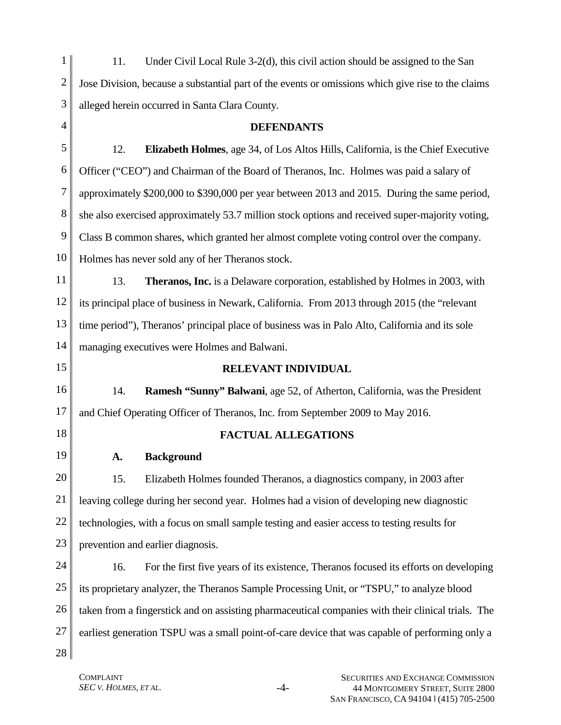1 2 3 4 5 6 7 8 9 10 11 12 13 14 15 16 17 18 19 20 21 22 23 24 25 26 27 28 11. Under Civil Local Rule 3-2(d), this civil action should be assigned to the San Jose Division, because a substantial part of the events or omissions which give rise to the claims alleged herein occurred in Santa Clara County. **DEFENDANTS** 12. **Elizabeth Holmes**, age 34, of Los Altos Hills, California, is the Chief Executive Officer ("CEO") and Chairman of the Board of Theranos, Inc. Holmes was paid a salary of approximately \$200,000 to \$390,000 per year between 2013 and 2015. During the same period, she also exercised approximately 53.7 million stock options and received super-majority voting, Class B common shares, which granted her almost complete voting control over the company. Holmes has never sold any of her Theranos stock. 13. **Theranos, Inc.** is a Delaware corporation, established by Holmes in 2003, with its principal place of business in Newark, California. From 2013 through 2015 (the "relevant time period"), Theranos' principal place of business was in Palo Alto, California and its sole managing executives were Holmes and Balwani. **RELEVANT INDIVIDUAL** 14. **Ramesh "Sunny" Balwani**, age 52, of Atherton, California, was the President and Chief Operating Officer of Theranos, Inc. from September 2009 to May 2016. **FACTUAL ALLEGATIONS A. Background** 15. Elizabeth Holmes founded Theranos, a diagnostics company, in 2003 after leaving college during her second year. Holmes had a vision of developing new diagnostic technologies, with a focus on small sample testing and easier access to testing results for prevention and earlier diagnosis. 16. For the first five years of its existence, Theranos focused its efforts on developing its proprietary analyzer, the Theranos Sample Processing Unit, or "TSPU," to analyze blood taken from a fingerstick and on assisting pharmaceutical companies with their clinical trials. The earliest generation TSPU was a small point-of-care device that was capable of performing only a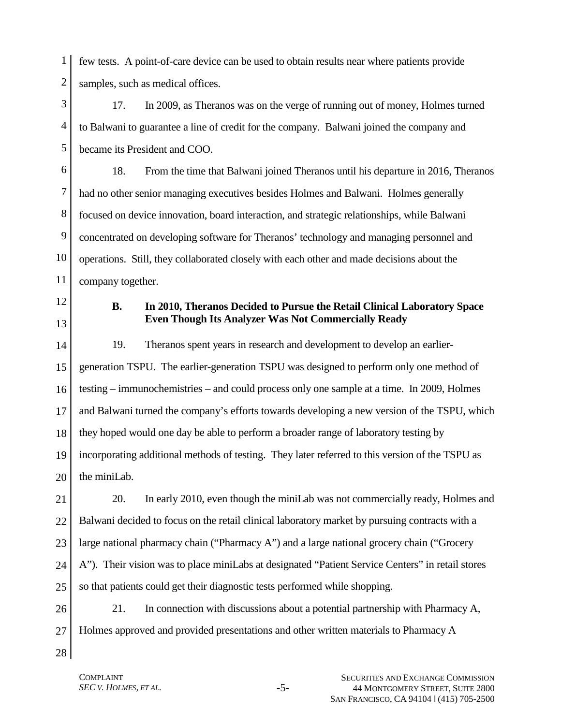1 2 few tests. A point-of-care device can be used to obtain results near where patients provide samples, such as medical offices.

3 4 5 17. In 2009, as Theranos was on the verge of running out of money, Holmes turned to Balwani to guarantee a line of credit for the company. Balwani joined the company and became its President and COO.

6 7 8 9 10 11 18. From the time that Balwani joined Theranos until his departure in 2016, Theranos had no other senior managing executives besides Holmes and Balwani. Holmes generally focused on device innovation, board interaction, and strategic relationships, while Balwani concentrated on developing software for Theranos' technology and managing personnel and operations. Still, they collaborated closely with each other and made decisions about the company together.

12

13

**B. In 2010, Theranos Decided to Pursue the Retail Clinical Laboratory Space Even Though Its Analyzer Was Not Commercially Ready**

14 15 16 17 18 19 20 19. Theranos spent years in research and development to develop an earliergeneration TSPU. The earlier-generation TSPU was designed to perform only one method of testing – immunochemistries – and could process only one sample at a time. In 2009, Holmes and Balwani turned the company's efforts towards developing a new version of the TSPU, which they hoped would one day be able to perform a broader range of laboratory testing by incorporating additional methods of testing. They later referred to this version of the TSPU as the miniLab.

21 22 23 24 25 20. In early 2010, even though the miniLab was not commercially ready, Holmes and Balwani decided to focus on the retail clinical laboratory market by pursuing contracts with a large national pharmacy chain ("Pharmacy A") and a large national grocery chain ("Grocery A"). Their vision was to place miniLabs at designated "Patient Service Centers" in retail stores so that patients could get their diagnostic tests performed while shopping.

26 27 21. In connection with discussions about a potential partnership with Pharmacy A, Holmes approved and provided presentations and other written materials to Pharmacy A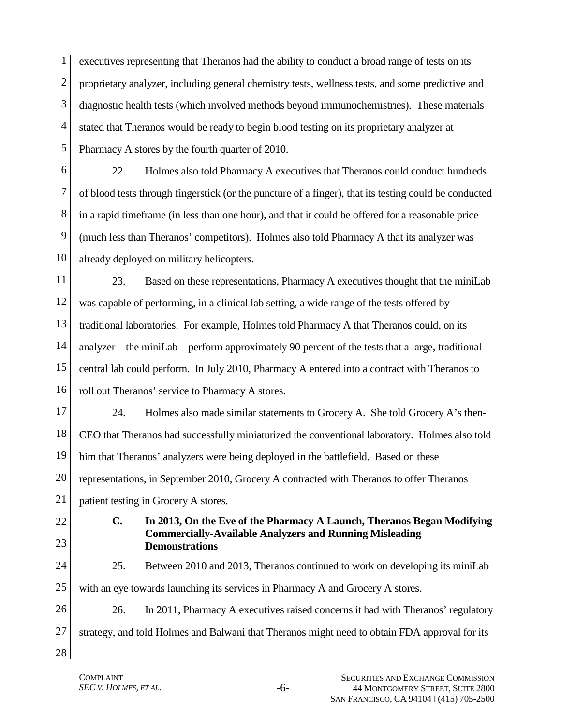1 2 3 4 5 executives representing that Theranos had the ability to conduct a broad range of tests on its proprietary analyzer, including general chemistry tests, wellness tests, and some predictive and diagnostic health tests (which involved methods beyond immunochemistries). These materials stated that Theranos would be ready to begin blood testing on its proprietary analyzer at Pharmacy A stores by the fourth quarter of 2010.

6 7 8 9 10 22. Holmes also told Pharmacy A executives that Theranos could conduct hundreds of blood tests through fingerstick (or the puncture of a finger), that its testing could be conducted in a rapid timeframe (in less than one hour), and that it could be offered for a reasonable price (much less than Theranos' competitors). Holmes also told Pharmacy A that its analyzer was already deployed on military helicopters.

11 12 13 14 15 16 23. Based on these representations, Pharmacy A executives thought that the miniLab was capable of performing, in a clinical lab setting, a wide range of the tests offered by traditional laboratories. For example, Holmes told Pharmacy A that Theranos could, on its analyzer – the miniLab – perform approximately 90 percent of the tests that a large, traditional central lab could perform. In July 2010, Pharmacy A entered into a contract with Theranos to roll out Theranos' service to Pharmacy A stores.

17 18 19 20 21 24. Holmes also made similar statements to Grocery A. She told Grocery A's then-CEO that Theranos had successfully miniaturized the conventional laboratory. Holmes also told him that Theranos' analyzers were being deployed in the battlefield. Based on these representations, in September 2010, Grocery A contracted with Theranos to offer Theranos patient testing in Grocery A stores.

22

- 23
- **C. In 2013, On the Eve of the Pharmacy A Launch, Theranos Began Modifying Commercially-Available Analyzers and Running Misleading Demonstrations**

24 25 25. Between 2010 and 2013, Theranos continued to work on developing its miniLab with an eye towards launching its services in Pharmacy A and Grocery A stores.

26 27 26. In 2011, Pharmacy A executives raised concerns it had with Theranos' regulatory strategy, and told Holmes and Balwani that Theranos might need to obtain FDA approval for its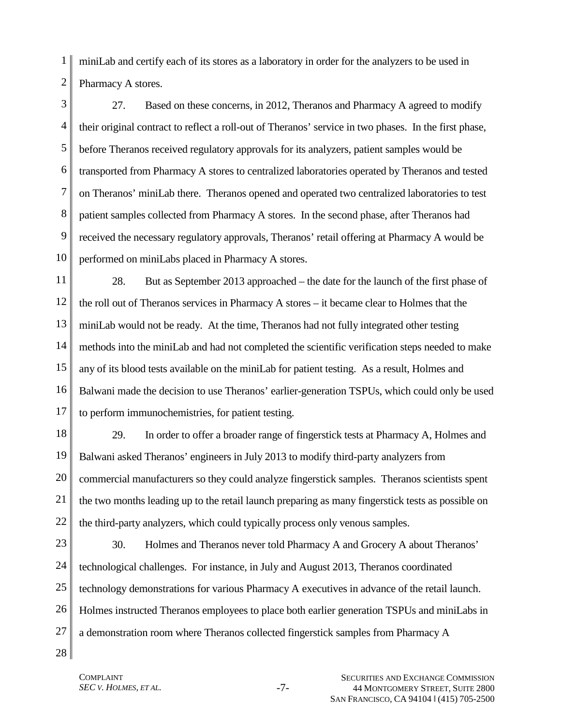1 2 miniLab and certify each of its stores as a laboratory in order for the analyzers to be used in Pharmacy A stores.

3 4 5 6 7 8 9 10 27. Based on these concerns, in 2012, Theranos and Pharmacy A agreed to modify their original contract to reflect a roll-out of Theranos' service in two phases. In the first phase, before Theranos received regulatory approvals for its analyzers, patient samples would be transported from Pharmacy A stores to centralized laboratories operated by Theranos and tested on Theranos' miniLab there. Theranos opened and operated two centralized laboratories to test patient samples collected from Pharmacy A stores. In the second phase, after Theranos had received the necessary regulatory approvals, Theranos' retail offering at Pharmacy A would be performed on miniLabs placed in Pharmacy A stores.

11 12 13 14 15 16 17 28. But as September 2013 approached – the date for the launch of the first phase of the roll out of Theranos services in Pharmacy A stores – it became clear to Holmes that the miniLab would not be ready. At the time, Theranos had not fully integrated other testing methods into the miniLab and had not completed the scientific verification steps needed to make any of its blood tests available on the miniLab for patient testing. As a result, Holmes and Balwani made the decision to use Theranos' earlier-generation TSPUs, which could only be used to perform immunochemistries, for patient testing.

18 19 20 21 22 29. In order to offer a broader range of fingerstick tests at Pharmacy A, Holmes and Balwani asked Theranos' engineers in July 2013 to modify third-party analyzers from commercial manufacturers so they could analyze fingerstick samples. Theranos scientists spent the two months leading up to the retail launch preparing as many fingerstick tests as possible on the third-party analyzers, which could typically process only venous samples.

23 24 25 26 27 30. Holmes and Theranos never told Pharmacy A and Grocery A about Theranos' technological challenges. For instance, in July and August 2013, Theranos coordinated technology demonstrations for various Pharmacy A executives in advance of the retail launch. Holmes instructed Theranos employees to place both earlier generation TSPUs and miniLabs in a demonstration room where Theranos collected fingerstick samples from Pharmacy A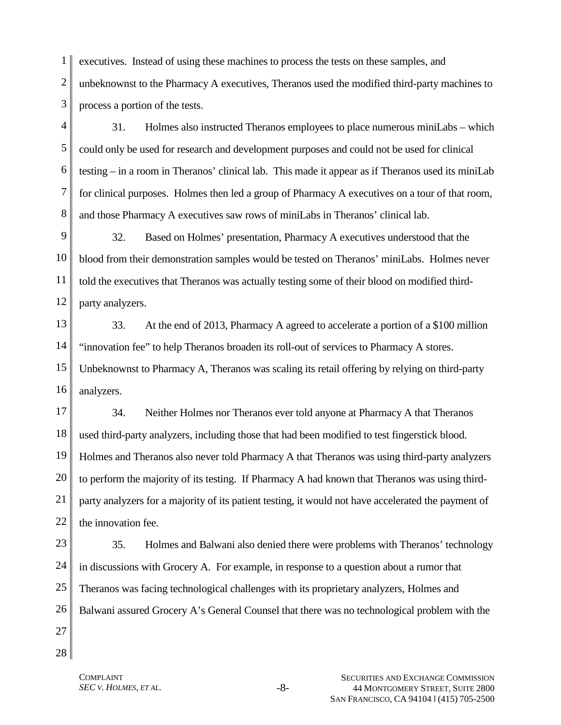1 2 3 executives. Instead of using these machines to process the tests on these samples, and unbeknownst to the Pharmacy A executives, Theranos used the modified third-party machines to process a portion of the tests.

4 5 6 7 8 31. Holmes also instructed Theranos employees to place numerous miniLabs – which could only be used for research and development purposes and could not be used for clinical testing – in a room in Theranos' clinical lab. This made it appear as if Theranos used its miniLab for clinical purposes. Holmes then led a group of Pharmacy A executives on a tour of that room, and those Pharmacy A executives saw rows of miniLabs in Theranos' clinical lab.

9 10 11 12 32. Based on Holmes' presentation, Pharmacy A executives understood that the blood from their demonstration samples would be tested on Theranos' miniLabs. Holmes never told the executives that Theranos was actually testing some of their blood on modified thirdparty analyzers.

13 14 15 16 33. At the end of 2013, Pharmacy A agreed to accelerate a portion of a \$100 million "innovation fee" to help Theranos broaden its roll-out of services to Pharmacy A stores. Unbeknownst to Pharmacy A, Theranos was scaling its retail offering by relying on third-party analyzers.

17 18 19 20 21 22 34. Neither Holmes nor Theranos ever told anyone at Pharmacy A that Theranos used third-party analyzers, including those that had been modified to test fingerstick blood. Holmes and Theranos also never told Pharmacy A that Theranos was using third-party analyzers to perform the majority of its testing. If Pharmacy A had known that Theranos was using thirdparty analyzers for a majority of its patient testing, it would not have accelerated the payment of the innovation fee.

23 24 25 26 27 35. Holmes and Balwani also denied there were problems with Theranos' technology in discussions with Grocery A. For example, in response to a question about a rumor that Theranos was facing technological challenges with its proprietary analyzers, Holmes and Balwani assured Grocery A's General Counsel that there was no technological problem with the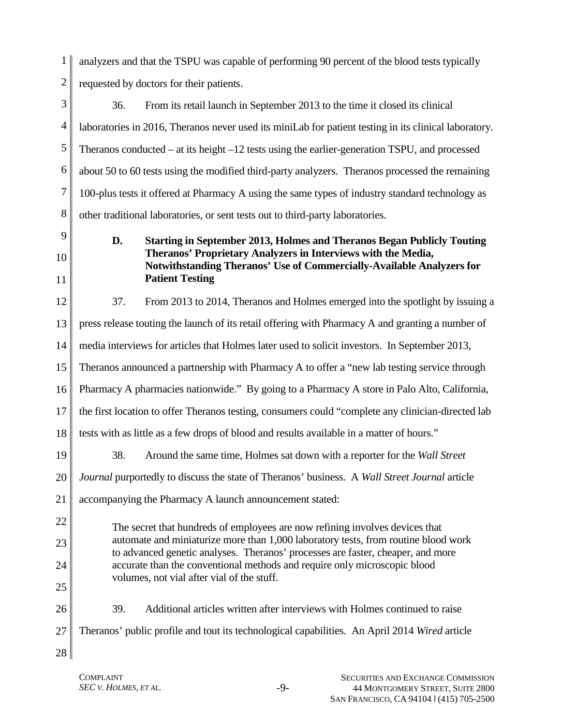1 2 analyzers and that the TSPU was capable of performing 90 percent of the blood tests typically requested by doctors for their patients.

3 4 5 6 7 8 36. From its retail launch in September 2013 to the time it closed its clinical laboratories in 2016, Theranos never used its miniLab for patient testing in its clinical laboratory. Theranos conducted – at its height –12 tests using the earlier-generation TSPU, and processed about 50 to 60 tests using the modified third-party analyzers. Theranos processed the remaining 100-plus tests it offered at Pharmacy A using the same types of industry standard technology as other traditional laboratories, or sent tests out to third-party laboratories.

- 9
- 10 11

**D. Starting in September 2013, Holmes and Theranos Began Publicly Touting Theranos' Proprietary Analyzers in Interviews with the Media, Notwithstanding Theranos' Use of Commercially-Available Analyzers for Patient Testing** 

12 13 14 15 16 17 18 19 20 21 37. From 2013 to 2014, Theranos and Holmes emerged into the spotlight by issuing a press release touting the launch of its retail offering with Pharmacy A and granting a number of media interviews for articles that Holmes later used to solicit investors. In September 2013, Theranos announced a partnership with Pharmacy A to offer a "new lab testing service through Pharmacy A pharmacies nationwide." By going to a Pharmacy A store in Palo Alto, California, the first location to offer Theranos testing, consumers could "complete any clinician-directed lab tests with as little as a few drops of blood and results available in a matter of hours." 38. Around the same time, Holmes sat down with a reporter for the *Wall Street Journal* purportedly to discuss the state of Theranos' business. A *Wall Street Journal* article accompanying the Pharmacy A launch announcement stated:

22 23 24 25 The secret that hundreds of employees are now refining involves devices that automate and miniaturize more than 1,000 laboratory tests, from routine blood work to advanced genetic analyses. Theranos' processes are faster, cheaper, and more accurate than the conventional methods and require only microscopic blood volumes, not vial after vial of the stuff.

26 27 28 39. Additional articles written after interviews with Holmes continued to raise Theranos' public profile and tout its technological capabilities. An April 2014 *Wired* article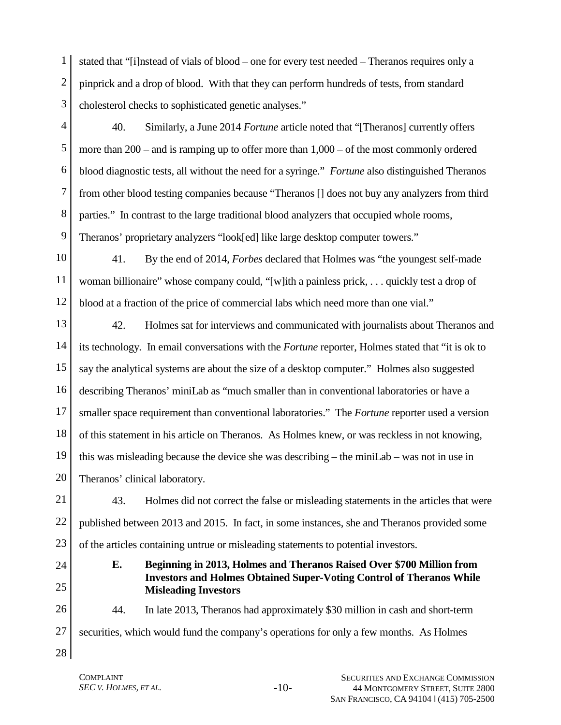1 2 3 stated that "[i]nstead of vials of blood – one for every test needed – Theranos requires only a pinprick and a drop of blood. With that they can perform hundreds of tests, from standard cholesterol checks to sophisticated genetic analyses."

4 5 6 7 8 9 40. Similarly, a June 2014 *Fortune* article noted that "[Theranos] currently offers more than 200 – and is ramping up to offer more than 1,000 – of the most commonly ordered blood diagnostic tests, all without the need for a syringe." *Fortune* also distinguished Theranos from other blood testing companies because "Theranos [] does not buy any analyzers from third parties." In contrast to the large traditional blood analyzers that occupied whole rooms, Theranos' proprietary analyzers "look[ed] like large desktop computer towers."

10 11 12 41. By the end of 2014, *Forbes* declared that Holmes was "the youngest self-made woman billionaire" whose company could, "[w]ith a painless prick, . . . quickly test a drop of blood at a fraction of the price of commercial labs which need more than one vial."

13 14 15 16 17 18 19 20 42. Holmes sat for interviews and communicated with journalists about Theranos and its technology. In email conversations with the *Fortune* reporter, Holmes stated that "it is ok to say the analytical systems are about the size of a desktop computer." Holmes also suggested describing Theranos' miniLab as "much smaller than in conventional laboratories or have a smaller space requirement than conventional laboratories." The *Fortune* reporter used a version of this statement in his article on Theranos. As Holmes knew, or was reckless in not knowing, this was misleading because the device she was describing – the miniLab – was not in use in Theranos' clinical laboratory.

21 22 23 43. Holmes did not correct the false or misleading statements in the articles that were published between 2013 and 2015. In fact, in some instances, she and Theranos provided some of the articles containing untrue or misleading statements to potential investors.

- 24
- 25

**E. Beginning in 2013, Holmes and Theranos Raised Over \$700 Million from Investors and Holmes Obtained Super-Voting Control of Theranos While Misleading Investors**

26 27 44. In late 2013, Theranos had approximately \$30 million in cash and short-term securities, which would fund the company's operations for only a few months. As Holmes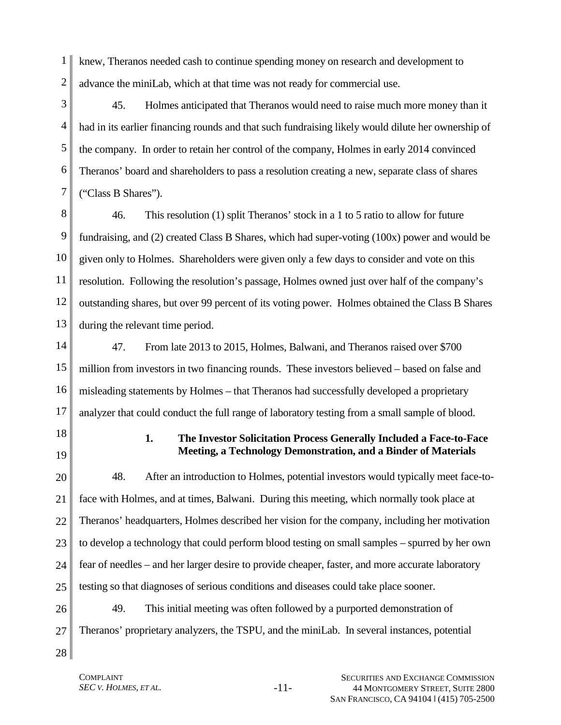1 2 knew, Theranos needed cash to continue spending money on research and development to advance the miniLab, which at that time was not ready for commercial use.

3 4 5 6 7 45. Holmes anticipated that Theranos would need to raise much more money than it had in its earlier financing rounds and that such fundraising likely would dilute her ownership of the company. In order to retain her control of the company, Holmes in early 2014 convinced Theranos' board and shareholders to pass a resolution creating a new, separate class of shares ("Class B Shares").

8 9 10 11 12 13 46. This resolution (1) split Theranos' stock in a 1 to 5 ratio to allow for future fundraising, and (2) created Class B Shares, which had super-voting (100x) power and would be given only to Holmes. Shareholders were given only a few days to consider and vote on this resolution. Following the resolution's passage, Holmes owned just over half of the company's outstanding shares, but over 99 percent of its voting power. Holmes obtained the Class B Shares during the relevant time period.

14 15 16 17 47. From late 2013 to 2015, Holmes, Balwani, and Theranos raised over \$700 million from investors in two financing rounds. These investors believed – based on false and misleading statements by Holmes – that Theranos had successfully developed a proprietary analyzer that could conduct the full range of laboratory testing from a small sample of blood.

- 18
- 19

### **1. The Investor Solicitation Process Generally Included a Face-to-Face Meeting, a Technology Demonstration, and a Binder of Materials**

20 21 22 23 24 25 48. After an introduction to Holmes, potential investors would typically meet face-toface with Holmes, and at times, Balwani. During this meeting, which normally took place at Theranos' headquarters, Holmes described her vision for the company, including her motivation to develop a technology that could perform blood testing on small samples – spurred by her own fear of needles – and her larger desire to provide cheaper, faster, and more accurate laboratory testing so that diagnoses of serious conditions and diseases could take place sooner.

26 27 49. This initial meeting was often followed by a purported demonstration of Theranos' proprietary analyzers, the TSPU, and the miniLab. In several instances, potential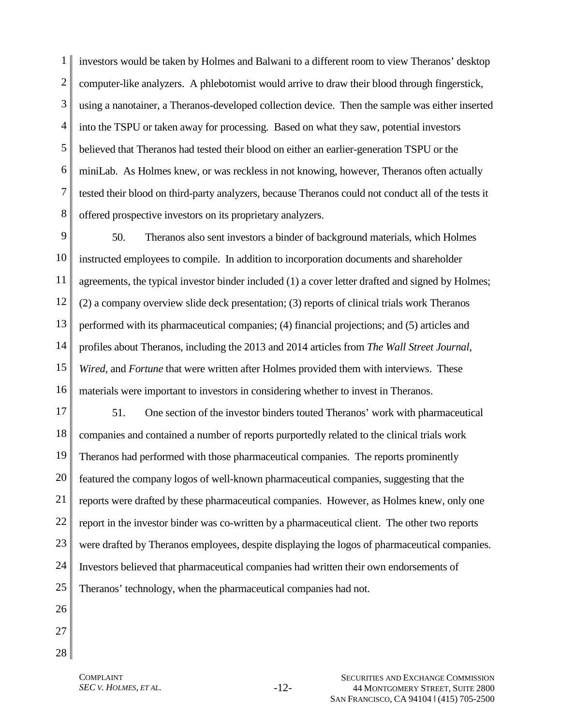1 2 3 4 5 6 7 8 investors would be taken by Holmes and Balwani to a different room to view Theranos' desktop computer-like analyzers. A phlebotomist would arrive to draw their blood through fingerstick, using a nanotainer, a Theranos-developed collection device. Then the sample was either inserted into the TSPU or taken away for processing. Based on what they saw, potential investors believed that Theranos had tested their blood on either an earlier-generation TSPU or the miniLab. As Holmes knew, or was reckless in not knowing, however, Theranos often actually tested their blood on third-party analyzers, because Theranos could not conduct all of the tests it offered prospective investors on its proprietary analyzers.

9 10 11 12 13 14 15 16 50. Theranos also sent investors a binder of background materials, which Holmes instructed employees to compile. In addition to incorporation documents and shareholder agreements, the typical investor binder included (1) a cover letter drafted and signed by Holmes; (2) a company overview slide deck presentation; (3) reports of clinical trials work Theranos performed with its pharmaceutical companies; (4) financial projections; and (5) articles and profiles about Theranos, including the 2013 and 2014 articles from *The Wall Street Journal*, *Wired*, and *Fortune* that were written after Holmes provided them with interviews. These materials were important to investors in considering whether to invest in Theranos.

17 18 19 20 21 22 23 24 25 51. One section of the investor binders touted Theranos' work with pharmaceutical companies and contained a number of reports purportedly related to the clinical trials work Theranos had performed with those pharmaceutical companies. The reports prominently featured the company logos of well-known pharmaceutical companies, suggesting that the reports were drafted by these pharmaceutical companies. However, as Holmes knew, only one report in the investor binder was co-written by a pharmaceutical client. The other two reports were drafted by Theranos employees, despite displaying the logos of pharmaceutical companies. Investors believed that pharmaceutical companies had written their own endorsements of Theranos' technology, when the pharmaceutical companies had not.

- 26 27
- 28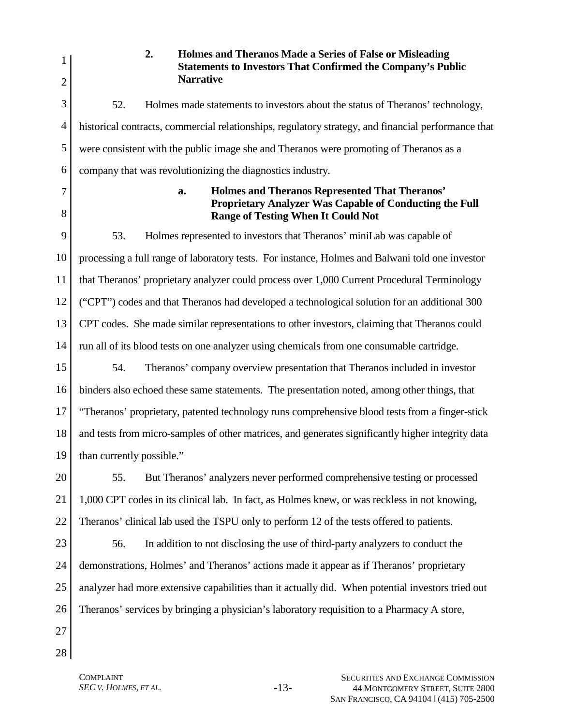1 2 3 4 5 6 7 8 9 10 11 12 13 14 **2. Holmes and Theranos Made a Series of False or Misleading Statements to Investors That Confirmed the Company's Public Narrative** 52. Holmes made statements to investors about the status of Theranos' technology, historical contracts, commercial relationships, regulatory strategy, and financial performance that were consistent with the public image she and Theranos were promoting of Theranos as a company that was revolutionizing the diagnostics industry. **a. Holmes and Theranos Represented That Theranos' Proprietary Analyzer Was Capable of Conducting the Full Range of Testing When It Could Not** 53. Holmes represented to investors that Theranos' miniLab was capable of processing a full range of laboratory tests. For instance, Holmes and Balwani told one investor that Theranos' proprietary analyzer could process over 1,000 Current Procedural Terminology ("CPT") codes and that Theranos had developed a technological solution for an additional 300 CPT codes. She made similar representations to other investors, claiming that Theranos could run all of its blood tests on one analyzer using chemicals from one consumable cartridge.

15 16 17 18 19 54. Theranos' company overview presentation that Theranos included in investor binders also echoed these same statements. The presentation noted, among other things, that "Theranos' proprietary, patented technology runs comprehensive blood tests from a finger-stick and tests from micro-samples of other matrices, and generates significantly higher integrity data than currently possible."

20 21 22 55. But Theranos' analyzers never performed comprehensive testing or processed 1,000 CPT codes in its clinical lab. In fact, as Holmes knew, or was reckless in not knowing, Theranos' clinical lab used the TSPU only to perform 12 of the tests offered to patients.

23 24 25 26 56. In addition to not disclosing the use of third-party analyzers to conduct the demonstrations, Holmes' and Theranos' actions made it appear as if Theranos' proprietary analyzer had more extensive capabilities than it actually did. When potential investors tried out Theranos' services by bringing a physician's laboratory requisition to a Pharmacy A store,

- 27
- 28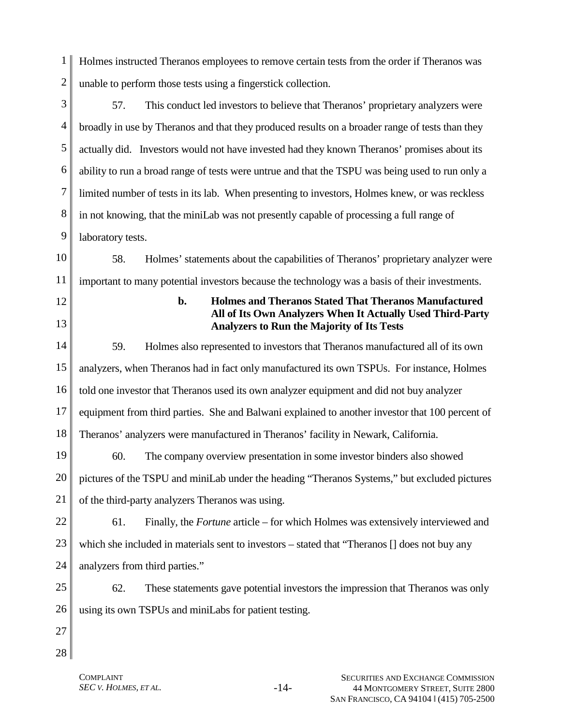1 2 Holmes instructed Theranos employees to remove certain tests from the order if Theranos was unable to perform those tests using a fingerstick collection.

3 4 5 6 7 8 9 57. This conduct led investors to believe that Theranos' proprietary analyzers were broadly in use by Theranos and that they produced results on a broader range of tests than they actually did. Investors would not have invested had they known Theranos' promises about its ability to run a broad range of tests were untrue and that the TSPU was being used to run only a limited number of tests in its lab. When presenting to investors, Holmes knew, or was reckless in not knowing, that the miniLab was not presently capable of processing a full range of laboratory tests.

10 11 58. Holmes' statements about the capabilities of Theranos' proprietary analyzer were important to many potential investors because the technology was a basis of their investments.

- 12
- 13

**b. Holmes and Theranos Stated That Theranos Manufactured All of Its Own Analyzers When It Actually Used Third-Party Analyzers to Run the Majority of Its Tests**

14 15 16 17 18 59. Holmes also represented to investors that Theranos manufactured all of its own analyzers, when Theranos had in fact only manufactured its own TSPUs. For instance, Holmes told one investor that Theranos used its own analyzer equipment and did not buy analyzer equipment from third parties. She and Balwani explained to another investor that 100 percent of Theranos' analyzers were manufactured in Theranos' facility in Newark, California.

19 20 21 60. The company overview presentation in some investor binders also showed pictures of the TSPU and miniLab under the heading "Theranos Systems," but excluded pictures of the third-party analyzers Theranos was using.

22 23 24 61. Finally, the *Fortune* article – for which Holmes was extensively interviewed and which she included in materials sent to investors – stated that "Theranos  $\iota$  does not buy any analyzers from third parties."

- 25 26 62. These statements gave potential investors the impression that Theranos was only using its own TSPUs and miniLabs for patient testing.
- 27
- 28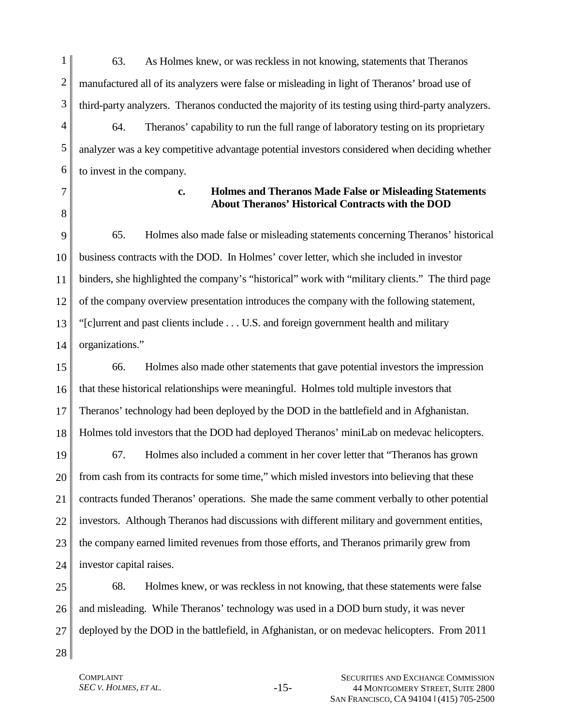1 2 3 63. As Holmes knew, or was reckless in not knowing, statements that Theranos manufactured all of its analyzers were false or misleading in light of Theranos' broad use of third-party analyzers. Theranos conducted the majority of its testing using third-party analyzers.

4 5 6 64. Theranos' capability to run the full range of laboratory testing on its proprietary analyzer was a key competitive advantage potential investors considered when deciding whether to invest in the company.

7

8

### **c. Holmes and Theranos Made False or Misleading Statements About Theranos' Historical Contracts with the DOD**

9 10 11 12 13 14 65. Holmes also made false or misleading statements concerning Theranos' historical business contracts with the DOD. In Holmes' cover letter, which she included in investor binders, she highlighted the company's "historical" work with "military clients." The third page of the company overview presentation introduces the company with the following statement, "[c]urrent and past clients include . . . U.S. and foreign government health and military organizations."

15 16 17 18 66. Holmes also made other statements that gave potential investors the impression that these historical relationships were meaningful. Holmes told multiple investors that Theranos' technology had been deployed by the DOD in the battlefield and in Afghanistan. Holmes told investors that the DOD had deployed Theranos' miniLab on medevac helicopters.

19 20 21 22 23 24 67. Holmes also included a comment in her cover letter that "Theranos has grown from cash from its contracts for some time," which misled investors into believing that these contracts funded Theranos' operations. She made the same comment verbally to other potential investors. Although Theranos had discussions with different military and government entities, the company earned limited revenues from those efforts, and Theranos primarily grew from investor capital raises.

25 26 27 68. Holmes knew, or was reckless in not knowing, that these statements were false and misleading. While Theranos' technology was used in a DOD burn study, it was never deployed by the DOD in the battlefield, in Afghanistan, or on medevac helicopters. From 2011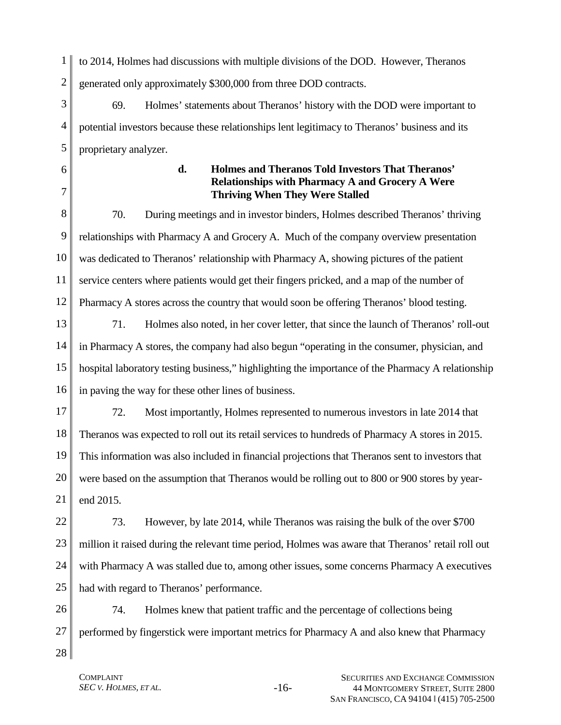1 2 to 2014, Holmes had discussions with multiple divisions of the DOD. However, Theranos generated only approximately \$300,000 from three DOD contracts.

3 4 5 69. Holmes' statements about Theranos' history with the DOD were important to potential investors because these relationships lent legitimacy to Theranos' business and its proprietary analyzer.

6 7

### **d. Holmes and Theranos Told Investors That Theranos' Relationships with Pharmacy A and Grocery A Were Thriving When They Were Stalled**

8 9 10 11 12 70. During meetings and in investor binders, Holmes described Theranos' thriving relationships with Pharmacy A and Grocery A. Much of the company overview presentation was dedicated to Theranos' relationship with Pharmacy A, showing pictures of the patient service centers where patients would get their fingers pricked, and a map of the number of Pharmacy A stores across the country that would soon be offering Theranos' blood testing.

13 14 15 16 71. Holmes also noted, in her cover letter, that since the launch of Theranos' roll-out in Pharmacy A stores, the company had also begun "operating in the consumer, physician, and hospital laboratory testing business," highlighting the importance of the Pharmacy A relationship in paving the way for these other lines of business.

17 18 19 20 21 72. Most importantly, Holmes represented to numerous investors in late 2014 that Theranos was expected to roll out its retail services to hundreds of Pharmacy A stores in 2015. This information was also included in financial projections that Theranos sent to investors that were based on the assumption that Theranos would be rolling out to 800 or 900 stores by yearend 2015.

22 23 24 25 73. However, by late 2014, while Theranos was raising the bulk of the over \$700 million it raised during the relevant time period, Holmes was aware that Theranos' retail roll out with Pharmacy A was stalled due to, among other issues, some concerns Pharmacy A executives had with regard to Theranos' performance.

26 27 28 74. Holmes knew that patient traffic and the percentage of collections being performed by fingerstick were important metrics for Pharmacy A and also knew that Pharmacy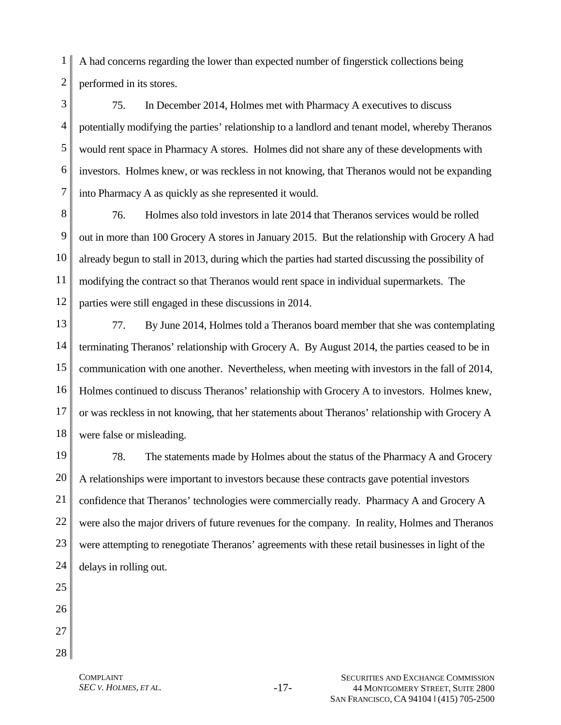1 2 A had concerns regarding the lower than expected number of fingerstick collections being performed in its stores.

3 4 5 6 7 75. In December 2014, Holmes met with Pharmacy A executives to discuss potentially modifying the parties' relationship to a landlord and tenant model, whereby Theranos would rent space in Pharmacy A stores. Holmes did not share any of these developments with investors. Holmes knew, or was reckless in not knowing, that Theranos would not be expanding into Pharmacy A as quickly as she represented it would.

8 9 10 11 12 76. Holmes also told investors in late 2014 that Theranos services would be rolled out in more than 100 Grocery A stores in January 2015. But the relationship with Grocery A had already begun to stall in 2013, during which the parties had started discussing the possibility of modifying the contract so that Theranos would rent space in individual supermarkets. The parties were still engaged in these discussions in 2014.

13 14 15 16 17 18 77. By June 2014, Holmes told a Theranos board member that she was contemplating terminating Theranos' relationship with Grocery A. By August 2014, the parties ceased to be in communication with one another. Nevertheless, when meeting with investors in the fall of 2014, Holmes continued to discuss Theranos' relationship with Grocery A to investors. Holmes knew, or was reckless in not knowing, that her statements about Theranos' relationship with Grocery A were false or misleading.

19 20 21 22 23 24 78. The statements made by Holmes about the status of the Pharmacy A and Grocery A relationships were important to investors because these contracts gave potential investors confidence that Theranos' technologies were commercially ready. Pharmacy A and Grocery A were also the major drivers of future revenues for the company. In reality, Holmes and Theranos were attempting to renegotiate Theranos' agreements with these retail businesses in light of the delays in rolling out.

25 26

27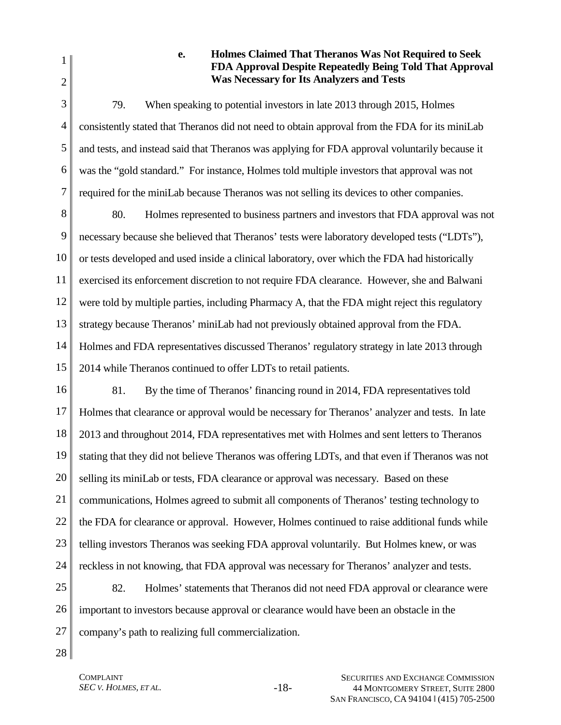1 2

3

4

7

# **e. Holmes Claimed That Theranos Was Not Required to Seek FDA Approval Despite Repeatedly Being Told That Approval Was Necessary for Its Analyzers and Tests**

5 6 79. When speaking to potential investors in late 2013 through 2015, Holmes consistently stated that Theranos did not need to obtain approval from the FDA for its miniLab and tests, and instead said that Theranos was applying for FDA approval voluntarily because it was the "gold standard." For instance, Holmes told multiple investors that approval was not required for the miniLab because Theranos was not selling its devices to other companies.

8 9 10 11 12 13 14 15 80. Holmes represented to business partners and investors that FDA approval was not necessary because she believed that Theranos' tests were laboratory developed tests ("LDTs"), or tests developed and used inside a clinical laboratory, over which the FDA had historically exercised its enforcement discretion to not require FDA clearance. However, she and Balwani were told by multiple parties, including Pharmacy A, that the FDA might reject this regulatory strategy because Theranos' miniLab had not previously obtained approval from the FDA. Holmes and FDA representatives discussed Theranos' regulatory strategy in late 2013 through 2014 while Theranos continued to offer LDTs to retail patients.

16 17 18 19 20 21 22 23 24 81. By the time of Theranos' financing round in 2014, FDA representatives told Holmes that clearance or approval would be necessary for Theranos' analyzer and tests. In late 2013 and throughout 2014, FDA representatives met with Holmes and sent letters to Theranos stating that they did not believe Theranos was offering LDTs, and that even if Theranos was not selling its miniLab or tests, FDA clearance or approval was necessary. Based on these communications, Holmes agreed to submit all components of Theranos' testing technology to the FDA for clearance or approval. However, Holmes continued to raise additional funds while telling investors Theranos was seeking FDA approval voluntarily. But Holmes knew, or was reckless in not knowing, that FDA approval was necessary for Theranos' analyzer and tests.

25 26 27 82. Holmes' statements that Theranos did not need FDA approval or clearance were important to investors because approval or clearance would have been an obstacle in the company's path to realizing full commercialization.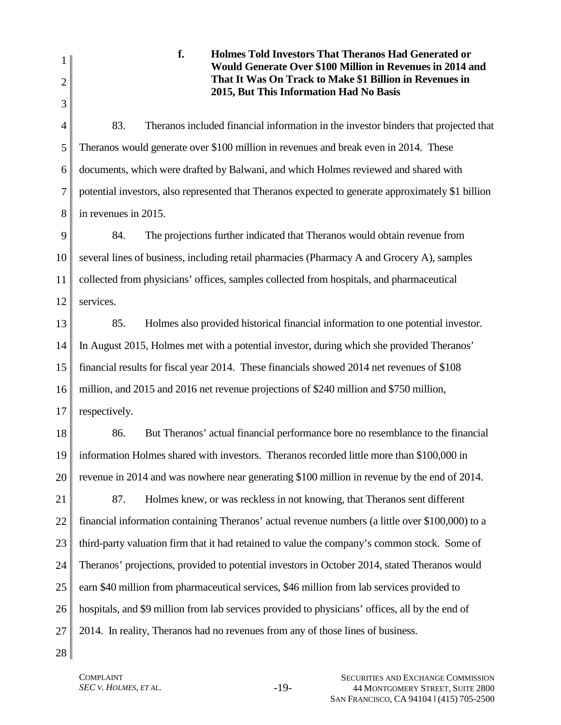1 2

3

4

5

6

7

**f. Holmes Told Investors That Theranos Had Generated or Would Generate Over \$100 Million in Revenues in 2014 and That It Was On Track to Make \$1 Billion in Revenues in 2015, But This Information Had No Basis**  83. Theranos included financial information in the investor binders that projected that Theranos would generate over \$100 million in revenues and break even in 2014. These documents, which were drafted by Balwani, and which Holmes reviewed and shared with potential investors, also represented that Theranos expected to generate approximately \$1 billion

8 in revenues in 2015.

9 10 11 12 84. The projections further indicated that Theranos would obtain revenue from several lines of business, including retail pharmacies (Pharmacy A and Grocery A), samples collected from physicians' offices, samples collected from hospitals, and pharmaceutical services.

13 14 15 16 17 85. Holmes also provided historical financial information to one potential investor. In August 2015, Holmes met with a potential investor, during which she provided Theranos' financial results for fiscal year 2014. These financials showed 2014 net revenues of \$108 million, and 2015 and 2016 net revenue projections of \$240 million and \$750 million, respectively.

18 19 20 86. But Theranos' actual financial performance bore no resemblance to the financial information Holmes shared with investors. Theranos recorded little more than \$100,000 in revenue in 2014 and was nowhere near generating \$100 million in revenue by the end of 2014.

21 22 23 24 25 26 27 87. Holmes knew, or was reckless in not knowing, that Theranos sent different financial information containing Theranos' actual revenue numbers (a little over \$100,000) to a third-party valuation firm that it had retained to value the company's common stock. Some of Theranos' projections, provided to potential investors in October 2014, stated Theranos would earn \$40 million from pharmaceutical services, \$46 million from lab services provided to hospitals, and \$9 million from lab services provided to physicians' offices, all by the end of 2014. In reality, Theranos had no revenues from any of those lines of business.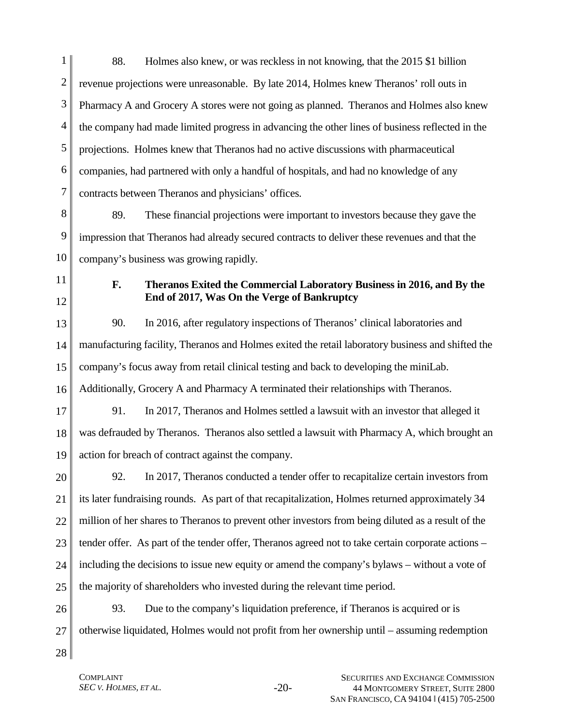1 2 3 4 5 6 7 88. Holmes also knew, or was reckless in not knowing, that the 2015 \$1 billion revenue projections were unreasonable. By late 2014, Holmes knew Theranos' roll outs in Pharmacy A and Grocery A stores were not going as planned. Theranos and Holmes also knew the company had made limited progress in advancing the other lines of business reflected in the projections. Holmes knew that Theranos had no active discussions with pharmaceutical companies, had partnered with only a handful of hospitals, and had no knowledge of any contracts between Theranos and physicians' offices.

8 9 10 89. These financial projections were important to investors because they gave the impression that Theranos had already secured contracts to deliver these revenues and that the company's business was growing rapidly.

- 11
- 12

# **F. Theranos Exited the Commercial Laboratory Business in 2016, and By the End of 2017, Was On the Verge of Bankruptcy**

13 14 15 16 90. In 2016, after regulatory inspections of Theranos' clinical laboratories and manufacturing facility, Theranos and Holmes exited the retail laboratory business and shifted the company's focus away from retail clinical testing and back to developing the miniLab. Additionally, Grocery A and Pharmacy A terminated their relationships with Theranos.

17 18 19 91. In 2017, Theranos and Holmes settled a lawsuit with an investor that alleged it was defrauded by Theranos. Theranos also settled a lawsuit with Pharmacy A, which brought an action for breach of contract against the company.

20 21 22 23 24 25 92. In 2017, Theranos conducted a tender offer to recapitalize certain investors from its later fundraising rounds. As part of that recapitalization, Holmes returned approximately 34 million of her shares to Theranos to prevent other investors from being diluted as a result of the tender offer. As part of the tender offer, Theranos agreed not to take certain corporate actions – including the decisions to issue new equity or amend the company's bylaws – without a vote of the majority of shareholders who invested during the relevant time period.

26 27 93. Due to the company's liquidation preference, if Theranos is acquired or is otherwise liquidated, Holmes would not profit from her ownership until – assuming redemption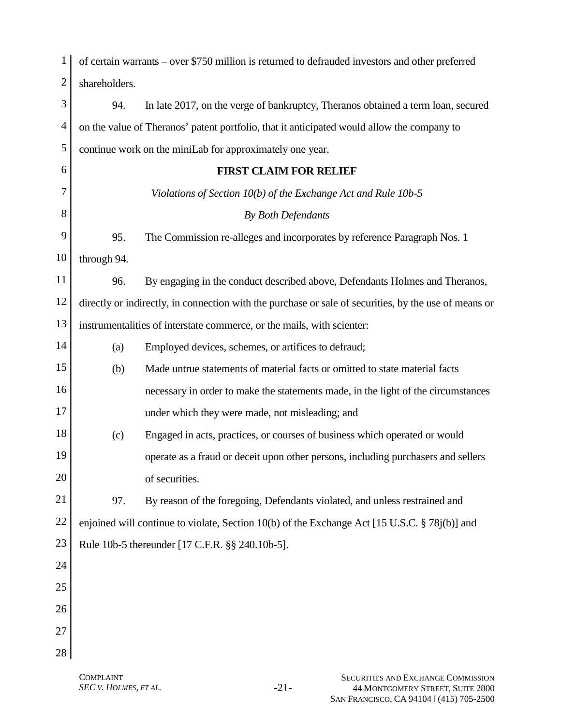| 1              | of certain warrants – over \$750 million is returned to defrauded investors and other preferred       |                                                                                   |  |
|----------------|-------------------------------------------------------------------------------------------------------|-----------------------------------------------------------------------------------|--|
| $\overline{2}$ | shareholders.                                                                                         |                                                                                   |  |
| 3              | 94.                                                                                                   | In late 2017, on the verge of bankruptcy, Theranos obtained a term loan, secured  |  |
| $\overline{4}$ | on the value of Theranos' patent portfolio, that it anticipated would allow the company to            |                                                                                   |  |
| 5              | continue work on the miniLab for approximately one year.                                              |                                                                                   |  |
| 6              | <b>FIRST CLAIM FOR RELIEF</b>                                                                         |                                                                                   |  |
| 7              | Violations of Section 10(b) of the Exchange Act and Rule 10b-5                                        |                                                                                   |  |
| 8              | By Both Defendants                                                                                    |                                                                                   |  |
| 9              | 95.                                                                                                   | The Commission re-alleges and incorporates by reference Paragraph Nos. 1          |  |
| 10             | through 94.                                                                                           |                                                                                   |  |
| 11             | 96.                                                                                                   | By engaging in the conduct described above, Defendants Holmes and Theranos,       |  |
| 12             | directly or indirectly, in connection with the purchase or sale of securities, by the use of means or |                                                                                   |  |
| 13             | instrumentalities of interstate commerce, or the mails, with scienter:                                |                                                                                   |  |
| 14             | (a)                                                                                                   | Employed devices, schemes, or artifices to defraud;                               |  |
| 15             | (b)                                                                                                   | Made untrue statements of material facts or omitted to state material facts       |  |
| 16             |                                                                                                       | necessary in order to make the statements made, in the light of the circumstances |  |
| 17             |                                                                                                       | under which they were made, not misleading; and                                   |  |
| 18             | (c)                                                                                                   | Engaged in acts, practices, or courses of business which operated or would        |  |
| 19             |                                                                                                       | operate as a fraud or deceit upon other persons, including purchasers and sellers |  |
| 20             |                                                                                                       | of securities.                                                                    |  |
| 21             | 97.                                                                                                   | By reason of the foregoing, Defendants violated, and unless restrained and        |  |
| 22             | enjoined will continue to violate, Section 10(b) of the Exchange Act [15 U.S.C. § 78j(b)] and         |                                                                                   |  |
| 23             | Rule 10b-5 thereunder [17 C.F.R. §§ 240.10b-5].                                                       |                                                                                   |  |
| 24             |                                                                                                       |                                                                                   |  |
| 25             |                                                                                                       |                                                                                   |  |
| 26             |                                                                                                       |                                                                                   |  |
| 27             |                                                                                                       |                                                                                   |  |
| 28             |                                                                                                       |                                                                                   |  |
|                |                                                                                                       |                                                                                   |  |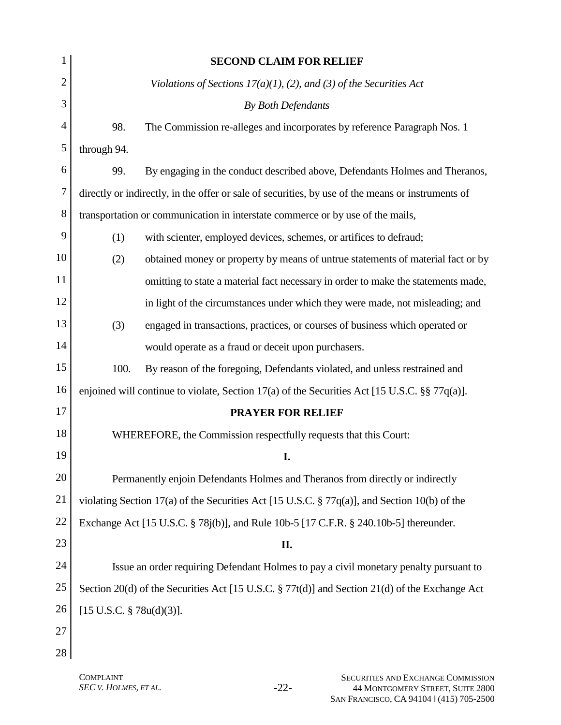| 1              |                                                                                                   | <b>SECOND CLAIM FOR RELIEF</b>                                                                     |  |  |
|----------------|---------------------------------------------------------------------------------------------------|----------------------------------------------------------------------------------------------------|--|--|
| $\overline{2}$ | Violations of Sections $17(a)(1)$ , (2), and (3) of the Securities Act                            |                                                                                                    |  |  |
| 3              | By Both Defendants                                                                                |                                                                                                    |  |  |
| $\overline{4}$ | 98.<br>The Commission re-alleges and incorporates by reference Paragraph Nos. 1                   |                                                                                                    |  |  |
| 5              | through 94.                                                                                       |                                                                                                    |  |  |
| 6              | 99.<br>By engaging in the conduct described above, Defendants Holmes and Theranos,                |                                                                                                    |  |  |
| 7              | directly or indirectly, in the offer or sale of securities, by use of the means or instruments of |                                                                                                    |  |  |
| 8              | transportation or communication in interstate commerce or by use of the mails,                    |                                                                                                    |  |  |
| 9              | (1)<br>with scienter, employed devices, schemes, or artifices to defraud;                         |                                                                                                    |  |  |
| 10             | (2)<br>obtained money or property by means of untrue statements of material fact or by            |                                                                                                    |  |  |
| 11             | omitting to state a material fact necessary in order to make the statements made,                 |                                                                                                    |  |  |
| 12             | in light of the circumstances under which they were made, not misleading; and                     |                                                                                                    |  |  |
| 13             | (3)<br>engaged in transactions, practices, or courses of business which operated or               |                                                                                                    |  |  |
| 14             | would operate as a fraud or deceit upon purchasers.                                               |                                                                                                    |  |  |
| 15             | 100.<br>By reason of the foregoing, Defendants violated, and unless restrained and                |                                                                                                    |  |  |
| 16             |                                                                                                   | enjoined will continue to violate, Section 17(a) of the Securities Act [15 U.S.C. $\S$ 77q(a)].    |  |  |
| 17             | <b>PRAYER FOR RELIEF</b>                                                                          |                                                                                                    |  |  |
| 18             | WHEREFORE, the Commission respectfully requests that this Court:                                  |                                                                                                    |  |  |
| 19             | I.                                                                                                |                                                                                                    |  |  |
| 20             | Permanently enjoin Defendants Holmes and Theranos from directly or indirectly                     |                                                                                                    |  |  |
| 21             | violating Section 17(a) of the Securities Act [15 U.S.C. $\S 77q(a)$ ], and Section 10(b) of the  |                                                                                                    |  |  |
| 22             |                                                                                                   | Exchange Act [15 U.S.C. § 78j(b)], and Rule 10b-5 [17 C.F.R. § 240.10b-5] thereunder.              |  |  |
| 23             | II.                                                                                               |                                                                                                    |  |  |
| 24             | Issue an order requiring Defendant Holmes to pay a civil monetary penalty pursuant to             |                                                                                                    |  |  |
| 25             |                                                                                                   | Section 20(d) of the Securities Act [15 U.S.C. $\S 77t(d)$ ] and Section 21(d) of the Exchange Act |  |  |
| 26             | $[15 \text{ U.S.C. } § 78u(d)(3)].$                                                               |                                                                                                    |  |  |
| 27             |                                                                                                   |                                                                                                    |  |  |
| 28             |                                                                                                   |                                                                                                    |  |  |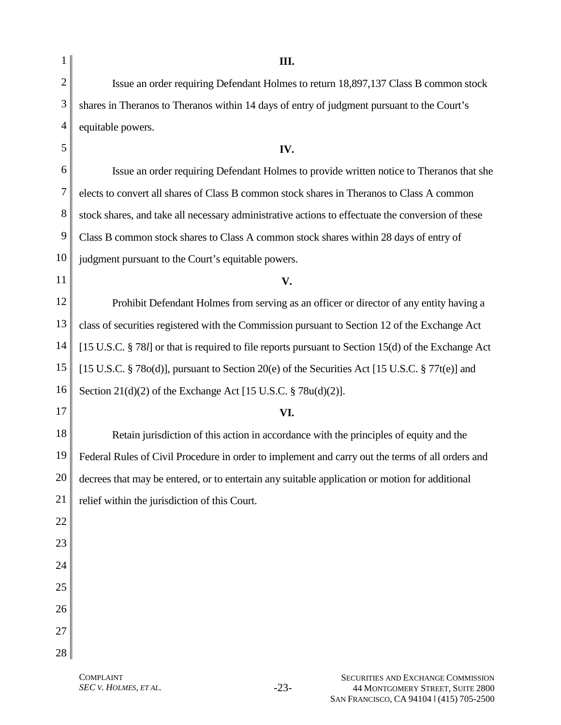| 1              | Ш.                                                                                                           |  |
|----------------|--------------------------------------------------------------------------------------------------------------|--|
| 2              | Issue an order requiring Defendant Holmes to return 18,897,137 Class B common stock                          |  |
| 3              | shares in Theranos to Theranos within 14 days of entry of judgment pursuant to the Court's                   |  |
| $\overline{4}$ | equitable powers.                                                                                            |  |
| 5              | IV.                                                                                                          |  |
| 6              | Issue an order requiring Defendant Holmes to provide written notice to Theranos that she                     |  |
| 7              | elects to convert all shares of Class B common stock shares in Theranos to Class A common                    |  |
| 8              | stock shares, and take all necessary administrative actions to effectuate the conversion of these            |  |
| 9              | Class B common stock shares to Class A common stock shares within 28 days of entry of                        |  |
| 10             | judgment pursuant to the Court's equitable powers.                                                           |  |
| 11             | V.                                                                                                           |  |
| 12             | Prohibit Defendant Holmes from serving as an officer or director of any entity having a                      |  |
| 13             | class of securities registered with the Commission pursuant to Section 12 of the Exchange Act                |  |
| 14             | [15 U.S.C. § 78 <i>I</i> ] or that is required to file reports pursuant to Section 15(d) of the Exchange Act |  |
| 15             | [15 U.S.C. § 78 $o(d)$ ], pursuant to Section 20(e) of the Securities Act [15 U.S.C. § 77t(e)] and           |  |
| 16             | Section 21(d)(2) of the Exchange Act [15 U.S.C. $\S 78u(d)(2)$ ].                                            |  |
| 17             | VI.                                                                                                          |  |
| 18             | Retain jurisdiction of this action in accordance with the principles of equity and the                       |  |
| 19             | Federal Rules of Civil Procedure in order to implement and carry out the terms of all orders and             |  |
| 20             | decrees that may be entered, or to entertain any suitable application or motion for additional               |  |
| 21             | relief within the jurisdiction of this Court.                                                                |  |
| 22             |                                                                                                              |  |
| 23             |                                                                                                              |  |
| 24             |                                                                                                              |  |
| 25             |                                                                                                              |  |
| 26             |                                                                                                              |  |
| 27             |                                                                                                              |  |
| 28             |                                                                                                              |  |